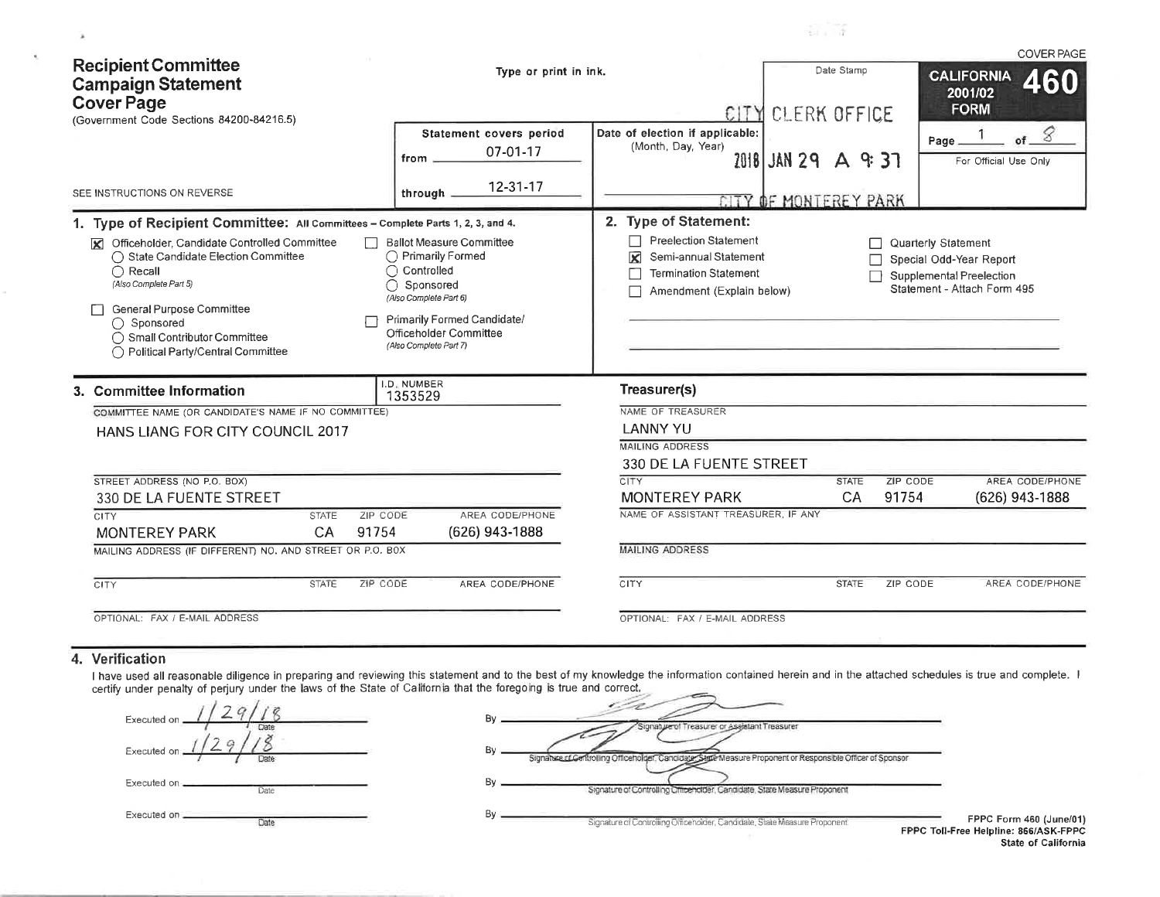| <b>Recipient Committee</b>                                                                                                                                                                                                                             | Type or print in ink.                                                                                                                                                                                |                                                                                                                         | Date Stamo                   |                            | <b>COVER PAGE</b>                                                                  |
|--------------------------------------------------------------------------------------------------------------------------------------------------------------------------------------------------------------------------------------------------------|------------------------------------------------------------------------------------------------------------------------------------------------------------------------------------------------------|-------------------------------------------------------------------------------------------------------------------------|------------------------------|----------------------------|------------------------------------------------------------------------------------|
| <b>Campaign Statement</b><br><b>Cover Page</b><br>(Government Code Sections 84200-84216.5)                                                                                                                                                             |                                                                                                                                                                                                      |                                                                                                                         | CITY CLERK OFFICE            |                            | <b>CALIFORNIA</b><br>2001/02<br><b>FORM</b>                                        |
|                                                                                                                                                                                                                                                        | Statement covers period<br>07-01-17<br>from                                                                                                                                                          | Date of election if applicable:<br>(Month, Day, Year)                                                                   | 2018 JAN 29 A 9 37           | Page                       | 8<br>of<br>For Official Use Only                                                   |
| SEE INSTRUCTIONS ON REVERSE                                                                                                                                                                                                                            | $12 - 31 - 17$<br>through                                                                                                                                                                            |                                                                                                                         | <b>CITY OF MONTEREY PARK</b> |                            |                                                                                    |
| 1. Type of Recipient Committee: All Committees - Complete Parts 1, 2, 3, and 4.                                                                                                                                                                        |                                                                                                                                                                                                      | 2. Type of Statement:                                                                                                   |                              |                            |                                                                                    |
| Officeholder, Candidate Controlled Committee<br>◯ State Candidate Election Committee<br>$\bigcap$ Recall<br>(Also Complete Part 5)<br>General Purpose Committee<br>◯ Sponsored<br>◯ Small Contributor Committee<br>◯ Political Party/Central Committee | <b>Ballot Measure Committee</b><br>◯ Primarily Formed<br>◯ Controlled<br>∩<br>Sponsored<br>(Also Complete Part 6)<br>Primarily Formed Candidate/<br>Officeholder Committee<br>(Also Complete Part 7) | <b>Preelection Statement</b><br>Semi-annual Statement<br>⊠<br><b>Termination Statement</b><br>Amendment (Explain below) |                              | <b>Quarterly Statement</b> | Special Odd-Year Report<br>Supplemental Preelection<br>Statement - Attach Form 495 |
| 3. Committee Information                                                                                                                                                                                                                               | I.D. NUMBER<br>1353529                                                                                                                                                                               | Treasurer(s)                                                                                                            |                              |                            |                                                                                    |
| COMMITTEE NAME (OR CANDIDATE'S NAME IF NO COMMITTEE)                                                                                                                                                                                                   |                                                                                                                                                                                                      | NAME OF TREASURER                                                                                                       |                              |                            |                                                                                    |
| HANS LIANG FOR CITY COUNCIL 2017                                                                                                                                                                                                                       |                                                                                                                                                                                                      | <b>LANNY YU</b>                                                                                                         |                              |                            |                                                                                    |
|                                                                                                                                                                                                                                                        |                                                                                                                                                                                                      | <b>MAILING ADDRESS</b>                                                                                                  |                              |                            |                                                                                    |
|                                                                                                                                                                                                                                                        |                                                                                                                                                                                                      | 330 DE LA FUENTE STREET                                                                                                 |                              |                            |                                                                                    |
| STREET ADDRESS (NO P.O. BOX)<br>330 DE LA FUENTE STREET                                                                                                                                                                                                |                                                                                                                                                                                                      | <b>CITY</b><br><b>MONTEREY PARK</b>                                                                                     | <b>STATE</b><br>CA           | ZIP CODE<br>91754          | AREA CODE/PHONE<br>(626) 943-1888                                                  |
| CITY<br>ZIP CODE<br><b>STATE</b>                                                                                                                                                                                                                       | AREA CODE/PHONE                                                                                                                                                                                      | NAME OF ASSISTANT TREASURER. IF ANY                                                                                     |                              |                            |                                                                                    |
| CA<br>91754<br><b>MONTEREY PARK</b>                                                                                                                                                                                                                    | (626) 943-1888                                                                                                                                                                                       |                                                                                                                         |                              |                            |                                                                                    |
| MAILING ADDRESS (IF DIFFERENT) NO. AND STREET OR P.O. BOX                                                                                                                                                                                              |                                                                                                                                                                                                      | <b>MAILING ADDRESS</b>                                                                                                  |                              |                            |                                                                                    |
| <b>CITY</b><br><b>STATE</b><br>ZIP CODE                                                                                                                                                                                                                | AREA CODE/PHONE                                                                                                                                                                                      | <b>CITY</b>                                                                                                             | <b>STATE</b>                 | <b>ZIP CODE</b>            | AREA CODE/PHONE                                                                    |
| OPTIONAL: FAX / E-MAIL ADDRESS                                                                                                                                                                                                                         |                                                                                                                                                                                                      | OPTIONAL: FAX / E-MAIL ADDRESS                                                                                          |                              |                            |                                                                                    |

## 4. Verification

 $\alpha$ 

 $\mathcal{X}$ 

I have used all reasonable diligence in preparing and reviewing this statement and to the best of my knowledge the information contained herein and in the attached schedules is true and complete. I certify under penalty of perjury under the laws of the State of California that the foregoing is true and correct.

| Executed on     |      |
|-----------------|------|
| Executed on _   |      |
| Executed on ___ | Date |
| Executed on .   |      |

Color In

| Bγ |                                                                                                             |
|----|-------------------------------------------------------------------------------------------------------------|
|    | Signature of Treasurer or Assistant Treasurer                                                               |
| By | Signalure of Centrolling Officeholder, Candidate, Sigle Measure Proponent or Responsible Officer of Sponsor |
| By | Signature of Controlling Officeholder, Candidate, State Measure Proponent                                   |
| By | Signature of Controlling Officeholder, Candidate, State Measure Proponent                                   |
|    | <b>FPPC Toll-</b>                                                                                           |

 $\frac{1}{12}$ 

FPPC Form 460 (June/01) -Free Helpline: 866/ASK-FPPC State of California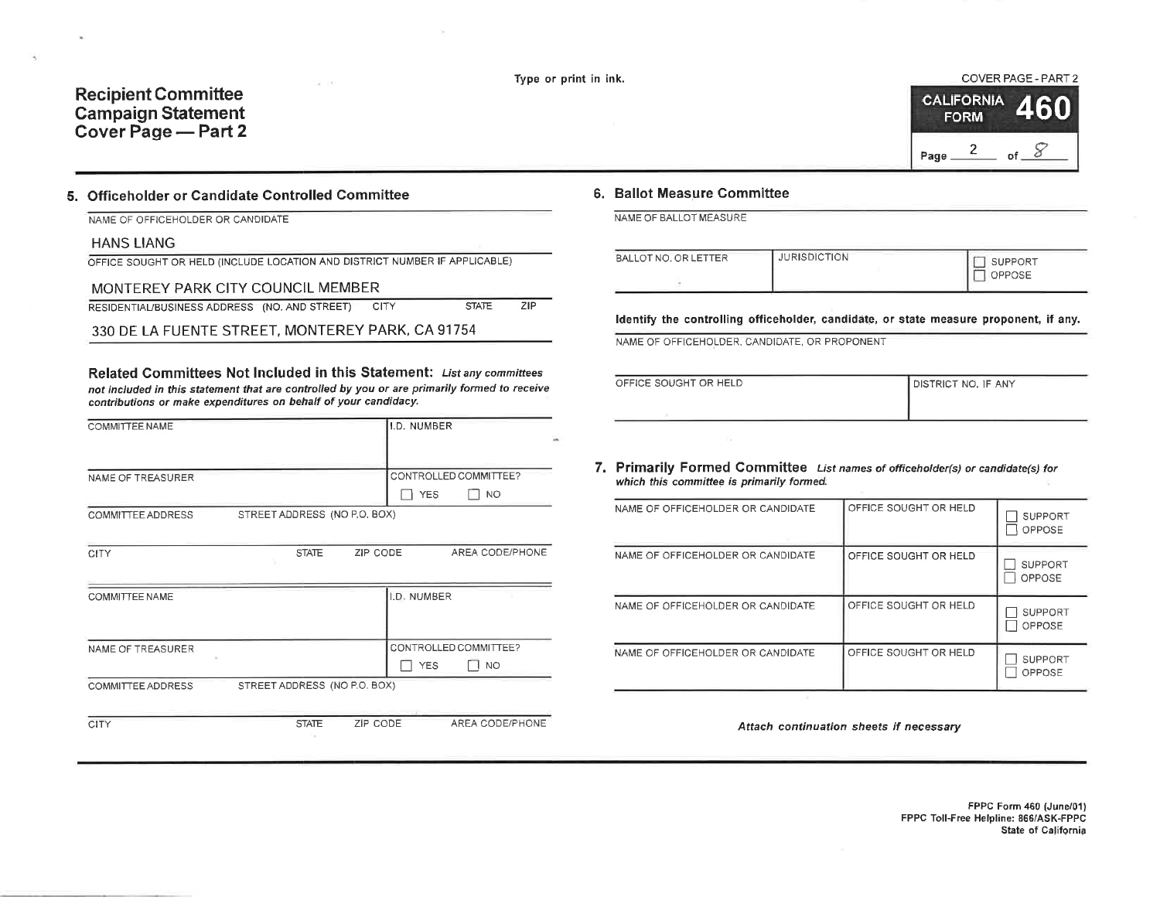Type or print in ink.

## **Recipient Committee Campaign Statement** Cover Page - Part 2

### COVER PAGE - PART 2 **CALIFORNIA FORM** 2 of  $\delta$ Page\_

## 5. Officeholder or Candidate Controlled Committee

|  | NAME OF OFFICEHOLDER OR CANDIDATE |  |
|--|-----------------------------------|--|
|  |                                   |  |

#### **HANS LIANG**

OFFICE SOUGHT OR HELD (INCLUDE LOCATION AND DISTRICT NUMBER IF APPLICABLE)

#### MONTEREY PARK CITY COUNCIL MEMBER

RESIDENTIAL/BUSINESS ADDRESS (NO. AND STREET) CITY **STATE**  $ZIP$ 

330 DE LA FUENTE STREET, MONTEREY PARK, CA 91754

Related Committees Not Included in this Statement: List any committees not included in this statement that are controlled by you or are primarily formed to receive contributions or make expenditures on behalf of your candidacy.

| <b>COMMITTEE NAME</b>    |                              |              |          | I.D. NUMBER |                       |  |
|--------------------------|------------------------------|--------------|----------|-------------|-----------------------|--|
|                          |                              |              |          |             |                       |  |
| NAME OF TREASURER        |                              |              |          |             | CONTROLLED COMMITTEE? |  |
|                          |                              |              |          | <b>YES</b>  | <b>NO</b>             |  |
| COMMITTEE ADDRESS        | STREET ADDRESS (NO P.O. BOX) |              |          |             |                       |  |
|                          |                              |              |          |             |                       |  |
| CITY                     |                              | <b>STATE</b> | ZIP CODE |             | AREA CODE/PHONE       |  |
|                          |                              |              |          |             |                       |  |
| COMMITTEE NAME           |                              |              |          | I.D. NUMBER |                       |  |
|                          |                              |              |          |             |                       |  |
|                          |                              |              |          |             |                       |  |
| NAME OF TREASURER        |                              |              |          |             | CONTROLLED COMMITTEE? |  |
|                          |                              |              |          | <b>YES</b>  | <b>NO</b>             |  |
| <b>COMMITTEE ADDRESS</b> | STREET ADDRESS (NO P.O. BOX) |              |          |             |                       |  |
|                          |                              |              |          |             |                       |  |
| CITY                     |                              | <b>STATE</b> | ZIP CODE |             | AREA CODE/PHONE       |  |

#### 6. Ballot Measure Committee

NAME OF BALLOT MEASURE

| BALLOT NO. OR LETTER | <b>JURISDICTION</b> | <b>SUPPORT</b><br><b>PPOSE</b> |
|----------------------|---------------------|--------------------------------|
|                      |                     |                                |

Identify the controlling officeholder, candidate, or state measure proponent, if any.

NAME OF OFFICEHOLDER, CANDIDATE, OR PROPONENT

| OFFICE SOUGHT OR HELD | DISTRICT NO. IF ANY |
|-----------------------|---------------------|
|                       |                     |
|                       |                     |

7. Primarily Formed Committee List names of officeholder(s) or candidate(s) for which this committee is primarily formed.

| NAME OF OFFICEHOLDER OR CANDIDATE | OFFICE SOUGHT OR HELD | <b>SUPPORT</b><br>OPPOSE        |
|-----------------------------------|-----------------------|---------------------------------|
| NAME OF OFFICEHOLDER OR CANDIDATE | OFFICE SOUGHT OR HELD | <b>SUPPORT</b><br><b>OPPOSE</b> |
| NAME OF OFFICEHOLDER OR CANDIDATE | OFFICE SOUGHT OR HELD | <b>SUPPORT</b><br>OPPOSE        |
| NAME OF OFFICEHOLDER OR CANDIDATE | OFFICE SOUGHT OR HELD | <b>SUPPORT</b><br>OPPOSE        |

Attach continuation sheets if necessary

FPPC Form 460 (June/01) FPPC Toll-Free Helpline: 866/ASK-FPPC State of California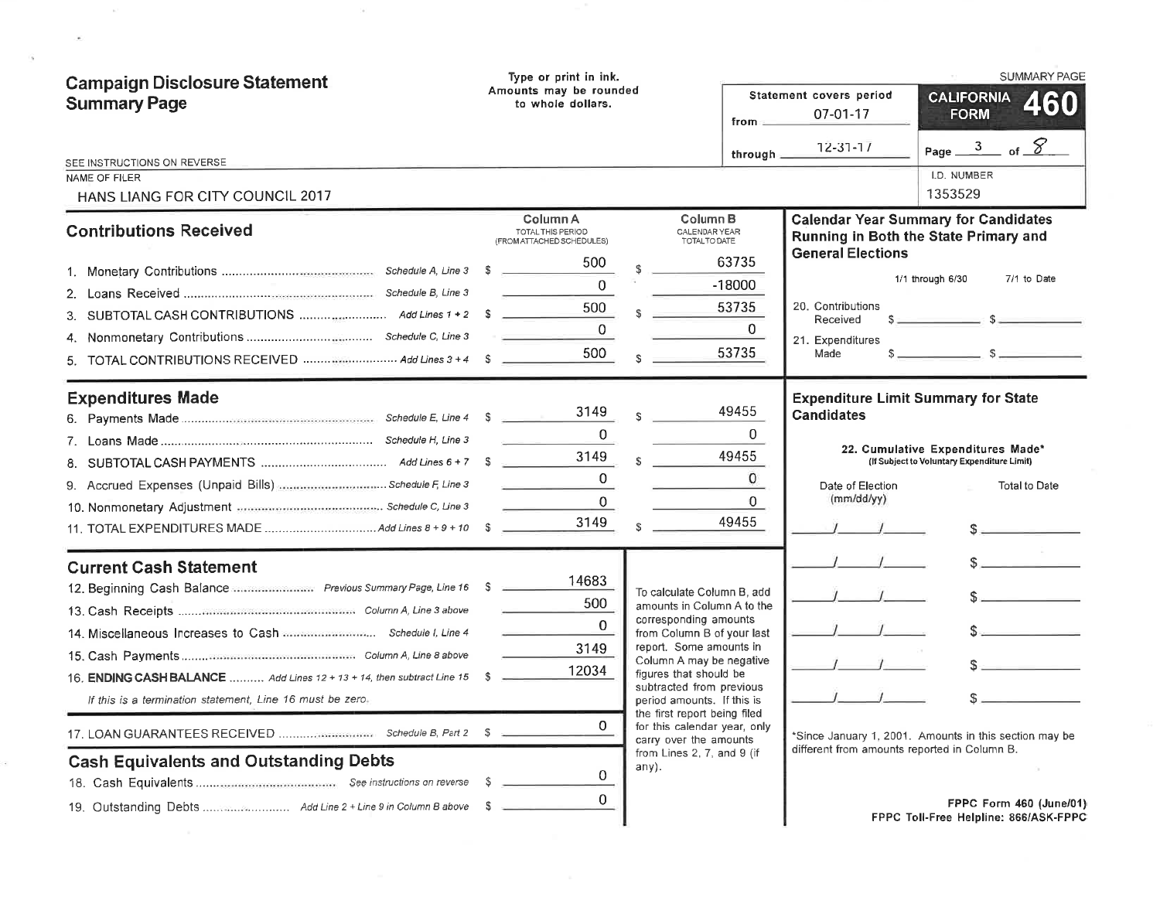| <b>Campaign Disclosure Statement</b><br><b>Summary Page</b>                                                                                                                                                              | Type or print in ink.<br>Amounts may be rounded<br>to whole dollars.                                                                                                            |                                                                                                                                                                                                                                                                                                                                                                                             | from $=$                                                                                  | Statement covers period<br>07-01-17                                                                        | <b>SUMMARY PAGE</b><br><b>CALIFORNIA</b><br><b>FORM</b>                                                                                                                                                                                                              |
|--------------------------------------------------------------------------------------------------------------------------------------------------------------------------------------------------------------------------|---------------------------------------------------------------------------------------------------------------------------------------------------------------------------------|---------------------------------------------------------------------------------------------------------------------------------------------------------------------------------------------------------------------------------------------------------------------------------------------------------------------------------------------------------------------------------------------|-------------------------------------------------------------------------------------------|------------------------------------------------------------------------------------------------------------|----------------------------------------------------------------------------------------------------------------------------------------------------------------------------------------------------------------------------------------------------------------------|
| SEE INSTRUCTIONS ON REVERSE<br>NAME OF FILER<br>HANS LIANG FOR CITY COUNCIL 2017                                                                                                                                         |                                                                                                                                                                                 |                                                                                                                                                                                                                                                                                                                                                                                             | through $\equiv$                                                                          | 12-31-17                                                                                                   | Page $\frac{3}{2}$ of $\frac{8}{2}$<br>I.D. NUMBER<br>1353529                                                                                                                                                                                                        |
| <b>Contributions Received</b><br>5. TOTAL CONTRIBUTIONS RECEIVED  Add Lines 3 + 4 \$<br><b>Expenditures Made</b>                                                                                                         | Column A<br>TOTAL THIS PERIOD<br>(FROM ATTACHED SCHEDULES)<br>500<br>$\overline{0}$<br>500<br>$\Omega$<br>500<br>3149<br>$\Omega$<br>3149<br><b>Service Control</b><br>$\Omega$ | Column <sub>B</sub><br>CALENDAR YEAR<br>TOTAL TO DATE<br>$\mathbf{s}$                                                                                                                                                                                                                                                                                                                       | 63735<br>$-18000$<br>53735<br>$\Omega$<br>53735<br>49455<br>$\Omega$<br>49455<br>$\Omega$ | <b>General Elections</b><br>20. Contributions<br>Received<br>21. Expenditures<br>Made<br><b>Candidates</b> | <b>Calendar Year Summary for Candidates</b><br>Running in Both the State Primary and<br>7/1 to Date<br>1/1 through 6/30<br>$s = 1$<br><b>Expenditure Limit Summary for State</b><br>22. Cumulative Expenditures Made*<br>(If Subject to Voluntary Expenditure Limit) |
|                                                                                                                                                                                                                          | $\mathbf{0}$<br>3149                                                                                                                                                            |                                                                                                                                                                                                                                                                                                                                                                                             | 0<br>49455                                                                                | Date of Election<br>(mm/dd/yy)                                                                             | <b>Total to Date</b>                                                                                                                                                                                                                                                 |
| <b>Current Cash Statement</b><br>16. ENDING CASH BALANCE  Add Lines 12 + 13 + 14, then subtract Line 15 \$<br>If this is a termination statement, Line 16 must be zero.<br><b>Cash Equivalents and Outstanding Debts</b> | 14683<br>500<br>$\Omega$<br>3149<br>12034<br>0<br>0<br>-S<br>$\Omega$                                                                                                           | To calculate Column B, add<br>amounts in Column A to the<br>corresponding amounts<br>from Column B of your last<br>report. Some amounts in<br>Column A may be negative<br>figures that should be<br>subtracted from previous<br>period amounts. If this is<br>the first report being filed<br>for this calendar year, only<br>carry over the amounts<br>from Lines 2, 7, and 9 (if<br>any). |                                                                                           | different from amounts reported in Column B.                                                               | $\sim$<br>$S_{\rm max}$<br>s<br>*Since January 1, 2001. Amounts in this section may be                                                                                                                                                                               |
|                                                                                                                                                                                                                          |                                                                                                                                                                                 |                                                                                                                                                                                                                                                                                                                                                                                             |                                                                                           |                                                                                                            | FPPC Form 460 (June/01)<br><b>FPPC Toll-Free Helpline: 866/ASK-FPPC</b>                                                                                                                                                                                              |

 $\mathcal{O}(\mathbb{R}^n)$ 

 $\bullet$ 

 $\epsilon$ 

 $\langle \hat{a} \rangle$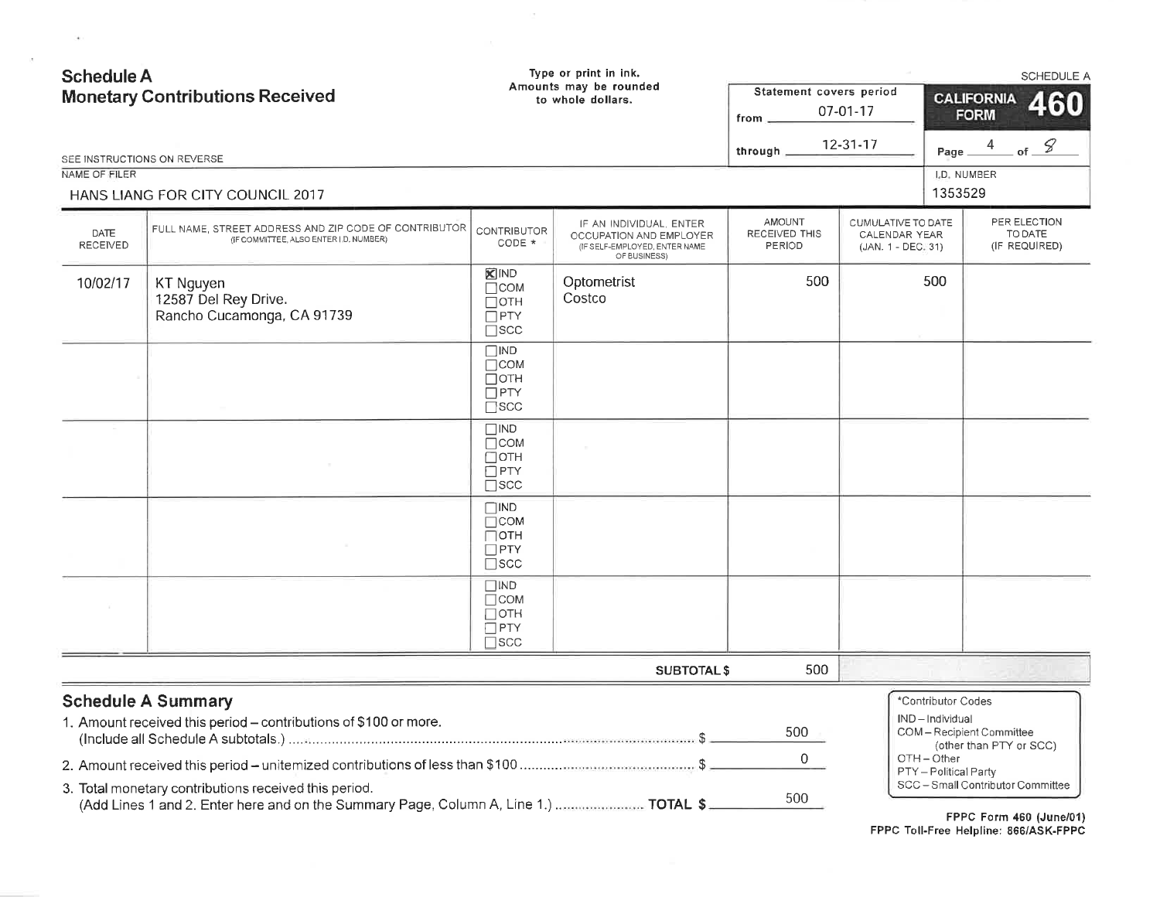| <b>Schedule A</b><br><b>Monetary Contributions Received</b> |                                                                                                                                               | Type or print in ink.<br>Amounts may be rounded<br>to whole dollars.    |                                                                                                     | Statement covers period<br>07-01-17<br>$from -$<br>12-31-17 |     | SCHEDULE A<br><b>CALIFORNIA</b><br>460<br><b>FORM</b><br>Page $\frac{4}{\sqrt{2}}$ of $\frac{8}{\sqrt{2}}$ |                                                                 |                        |                         |                          |  |  |  |  |  |  |  |                                                           |  |  |                                          |  |
|-------------------------------------------------------------|-----------------------------------------------------------------------------------------------------------------------------------------------|-------------------------------------------------------------------------|-----------------------------------------------------------------------------------------------------|-------------------------------------------------------------|-----|------------------------------------------------------------------------------------------------------------|-----------------------------------------------------------------|------------------------|-------------------------|--------------------------|--|--|--|--|--|--|--|-----------------------------------------------------------|--|--|------------------------------------------|--|
| SEE INSTRUCTIONS ON REVERSE                                 |                                                                                                                                               |                                                                         |                                                                                                     | through $\_$                                                |     |                                                                                                            |                                                                 |                        |                         |                          |  |  |  |  |  |  |  |                                                           |  |  |                                          |  |
| NAME OF FILER                                               |                                                                                                                                               |                                                                         |                                                                                                     |                                                             |     |                                                                                                            |                                                                 | I.D. NUMBER<br>1353529 |                         |                          |  |  |  |  |  |  |  |                                                           |  |  |                                          |  |
|                                                             | HANS LIANG FOR CITY COUNCIL 2017                                                                                                              |                                                                         |                                                                                                     |                                                             |     |                                                                                                            |                                                                 |                        |                         |                          |  |  |  |  |  |  |  |                                                           |  |  |                                          |  |
| DATE<br>RECEIVED                                            | FULL NAME, STREET ADDRESS AND ZIP CODE OF CONTRIBUTOR<br>(IF COMMITTEE, ALSO ENTER I D. NUMBER)                                               | <b>CONTRIBUTOR</b><br>CODE *                                            | IF AN INDIVIDUAL, ENTER<br>OCCUPATION AND EMPLOYER<br>(IF SELF-EMPLOYED, ENTER NAME<br>OF BUSINESS) | <b>AMOUNT</b><br>RECEIVED THIS<br>PERIOD                    |     |                                                                                                            |                                                                 |                        |                         |                          |  |  |  |  |  |  |  | CUMULATIVE TO DATE<br>CALENDAR YEAR<br>(JAN. 1 - DEC. 31) |  |  | PER ELECTION<br>TO DATE<br>(IF REQUIRED) |  |
| 10/02/17                                                    | KT Nguyen<br>12587 Del Rey Drive.<br>Rancho Cucamonga, CA 91739                                                                               | <b>X</b> IND<br>$\Box$ COM<br>$\Box$ oth<br>$\Box$ PTY<br>$\square$ scc | Optometrist<br>Costco                                                                               |                                                             | 500 |                                                                                                            | 500                                                             |                        |                         |                          |  |  |  |  |  |  |  |                                                           |  |  |                                          |  |
|                                                             |                                                                                                                                               | $\Box$ IND<br>$\Box$ COM<br>Потн<br>$\Box$ PTY<br>$\Box$ scc            |                                                                                                     |                                                             |     |                                                                                                            |                                                                 |                        |                         |                          |  |  |  |  |  |  |  |                                                           |  |  |                                          |  |
|                                                             |                                                                                                                                               | $\Box$ IND<br>$\Box$ COM<br>∩отн<br>$\Box$ PTY<br>$\square$ scc         |                                                                                                     |                                                             |     |                                                                                                            |                                                                 |                        |                         |                          |  |  |  |  |  |  |  |                                                           |  |  |                                          |  |
|                                                             |                                                                                                                                               | $\square$ IND<br>$\Box$ COM<br>∏отн<br>$\Box$ PTY<br>$\square$ scc      |                                                                                                     |                                                             |     |                                                                                                            |                                                                 |                        |                         |                          |  |  |  |  |  |  |  |                                                           |  |  |                                          |  |
|                                                             |                                                                                                                                               | $\Box$ IND<br>$\Box$ COM<br>∏ОТН<br>$\Box$ PTY<br>$\Box$ scc            |                                                                                                     |                                                             |     |                                                                                                            |                                                                 |                        |                         |                          |  |  |  |  |  |  |  |                                                           |  |  |                                          |  |
|                                                             |                                                                                                                                               |                                                                         | <b>SUBTOTAL \$</b>                                                                                  |                                                             | 500 |                                                                                                            |                                                                 |                        |                         |                          |  |  |  |  |  |  |  |                                                           |  |  |                                          |  |
|                                                             | <b>Schedule A Summary</b><br>1. Amount received this period - contributions of \$100 or more.                                                 |                                                                         |                                                                                                     | 500                                                         |     |                                                                                                            | *Contributor Codes<br>IND-Individual<br>COM-Recipient Committee |                        | (other than PTY or SCC) |                          |  |  |  |  |  |  |  |                                                           |  |  |                                          |  |
|                                                             |                                                                                                                                               |                                                                         |                                                                                                     | $\mathbf{O}$                                                |     |                                                                                                            | OTH-Other<br>PTY-Political Party                                |                        |                         |                          |  |  |  |  |  |  |  |                                                           |  |  |                                          |  |
|                                                             | 3. Total monetary contributions received this period.<br>(Add Lines 1 and 2. Enter here and on the Summary Page, Column A, Line 1.)  TOTAL \$ |                                                                         |                                                                                                     | 500                                                         |     |                                                                                                            | SCC-Small Contributor Committee                                 |                        |                         | CODO Come 400 / lune/04) |  |  |  |  |  |  |  |                                                           |  |  |                                          |  |

 $\sim 0.1$  . The set of  $\sim 0.01$ 

 $\sim$  15  $^\circ$ 

FPPC Form 460 (June/01)<br>FPPC Toll-Free Helpline: 866/ASK-FPPC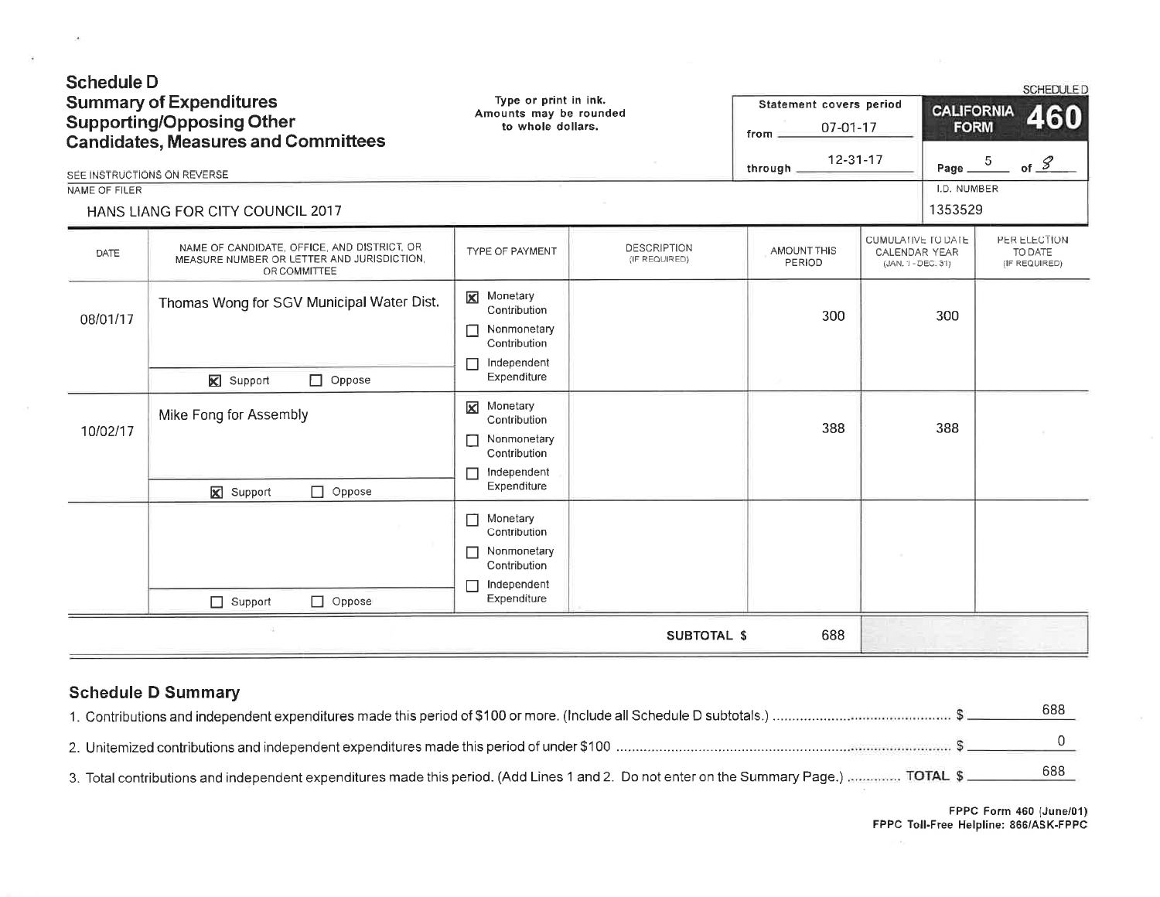| <b>Schedule D</b><br>NAME OF FILER | <b>Summary of Expenditures</b><br><b>Supporting/Opposing Other</b><br><b>Candidates, Measures and Committees</b><br>SEE INSTRUCTIONS ON REVERSE<br>HANS LIANG FOR CITY COUNCIL 2017 | Type or print in ink.<br>Amounts may be rounded<br>to whole dollars.                                 |                                     | Statement covers period<br>07-01-17<br>from<br>12-31-17<br>through. |                                                                  | <b>CALIFORNIA</b><br><b>FORM</b><br>Page $ \frac{5}{2}$<br>I.D. NUMBER<br>1353529 | <b>SCHEDULE D</b><br>460<br>of $\frac{g}{g}$ |
|------------------------------------|-------------------------------------------------------------------------------------------------------------------------------------------------------------------------------------|------------------------------------------------------------------------------------------------------|-------------------------------------|---------------------------------------------------------------------|------------------------------------------------------------------|-----------------------------------------------------------------------------------|----------------------------------------------|
| DATE                               | NAME OF CANDIDATE, OFFICE, AND DISTRICT, OR<br>MEASURE NUMBER OR LETTER AND JURISDICTION,<br>OR COMMITTEE                                                                           | TYPE OF PAYMENT                                                                                      | <b>DESCRIPTION</b><br>(IF REQUIRED) | AMOUNT THIS<br>PERIOD                                               | <b>CUMULATIVE TO DATE</b><br>CALENDAR YEAR<br>(JAN. 1 - DEC. 31) |                                                                                   | PER ELECTION<br>TO DATE<br>(IF REQUIRED)     |
| 08/01/17                           | Thomas Wong for SGV Municipal Water Dist.<br>Support<br>$\Box$ Oppose                                                                                                               | Monetary<br>⊠<br>Contribution<br>Nonmonetary<br>П<br>Contribution<br>Independent<br>П<br>Expenditure |                                     | 300                                                                 |                                                                  | 300                                                                               |                                              |
| 10/02/17                           | Mike Fong for Assembly<br><b>X</b> Support<br>$\Box$ Oppose                                                                                                                         | <b>X</b> Monetary<br>Contribution<br>Nonmonetary<br>П<br>Contribution<br>Independent<br>Expenditure  |                                     | 388                                                                 |                                                                  | 388                                                                               |                                              |
|                                    | $\Box$ Oppose<br>$\Box$ Support                                                                                                                                                     | Monetary<br>П<br>Contribution<br>Nonmonetary<br>П<br>Contribution<br>Independent<br>Expenditure      |                                     |                                                                     |                                                                  |                                                                                   |                                              |
|                                    |                                                                                                                                                                                     |                                                                                                      | <b>SUBTOTAL \$</b>                  | 688                                                                 |                                                                  |                                                                                   |                                              |

## **Schedule D Summary**

 $\sim$ 

 $\overline{3}$ 

|                                                                                                                                        | 688 |
|----------------------------------------------------------------------------------------------------------------------------------------|-----|
|                                                                                                                                        |     |
| 3. Total contributions and independent expenditures made this period. (Add Lines 1 and 2. Do not enter on the Summary Page.)  TOTAL \$ | 688 |

FPPC Form 460 (June/01)<br>FPPC Toll-Free Helpline: 866/ASK-FPPC

 $\equiv e_1$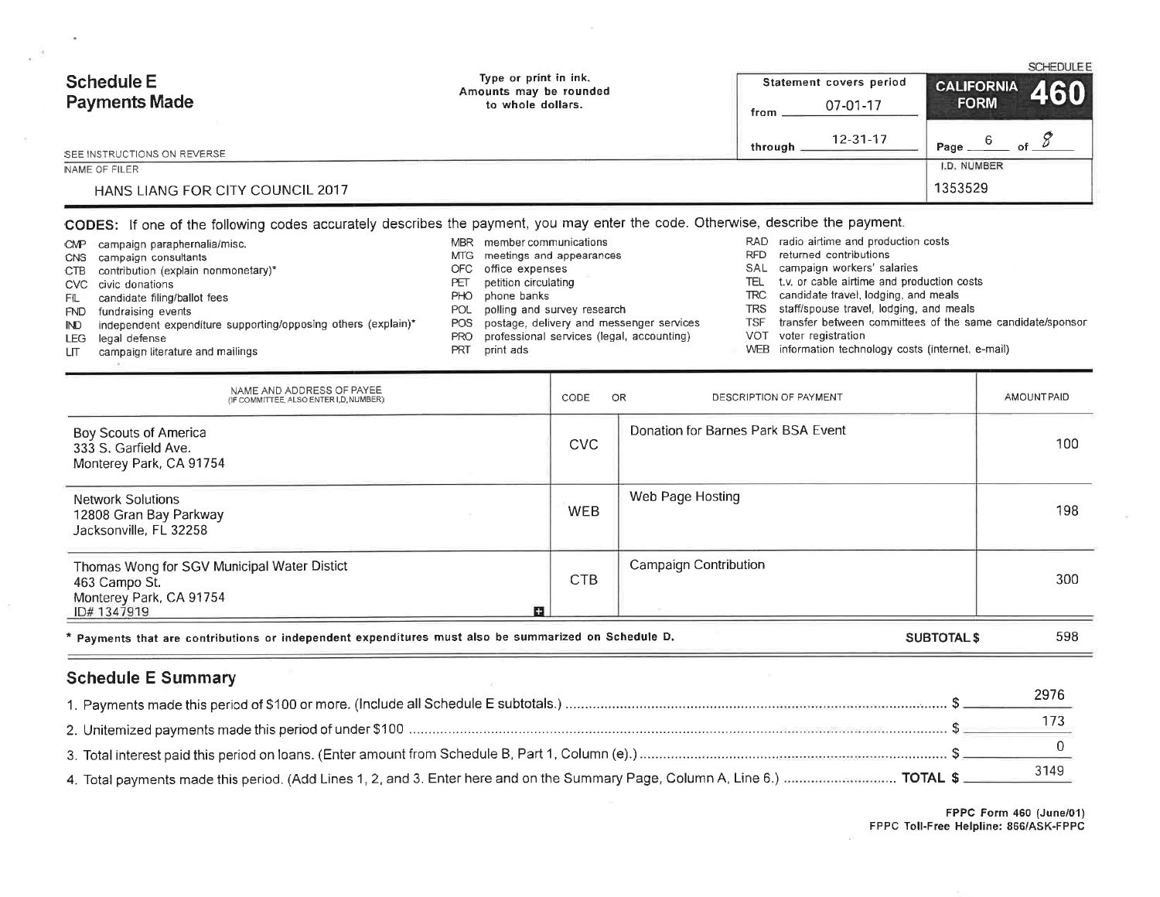| <b>Schedule E</b><br><b>Payments Made</b> | Type or print in ink.<br>Amounts may be rounded<br>to whole dollars. | Statement covers period | <b>SCHEDULEE</b><br>$\left  \begin{array}{cc} \text{CALIFORNIA} & 460 \end{array} \right $ |
|-------------------------------------------|----------------------------------------------------------------------|-------------------------|--------------------------------------------------------------------------------------------|
|                                           |                                                                      | 07-01-17<br>from        | <b>FORM</b>                                                                                |
| SEE INSTRUCTIONS ON REVERSE               |                                                                      | 12-31-17<br>through     | Page                                                                                       |
| NAME OF FILER                             |                                                                      |                         | I.D. NUMBER                                                                                |
| HANS LIANG FOR CITY COUNCIL 2017          |                                                                      |                         | 1353529                                                                                    |

# CODES: If one of the following codes accurately describes the payment, you may enter the code. Otherwise, describe the payment.

| CMP  | campaign paraphernalia/misc.                                  | <b>MBR</b> | member communications                        |            | RAD radio airtime and production costs                    |
|------|---------------------------------------------------------------|------------|----------------------------------------------|------------|-----------------------------------------------------------|
|      | CNS campaign consultants                                      | MTG.       | meetings and appearances                     | <b>RFD</b> | returned contributions                                    |
|      | CTB contribution (explain nonmonetary)*                       |            | OFC office expenses                          |            | SAL campaign workers' salaries                            |
|      | CVC civic donations                                           | PET        | petition circulating                         | TEL        | t.v. or cable airtime and production costs                |
| FL.  | candidate filing/ballot fees                                  | PHO.       | phone banks                                  |            | TRC candidate travel, lodging, and meals                  |
|      | FND fundraising events                                        | POL        | polling and survey research                  |            | TRS staff/spouse travel, lodging, and meals               |
| IND. | independent expenditure supporting/opposing others (explain)* |            | POS postage, delivery and messenger services | TSF        | transfer between committees of the same candidate/sponsor |
|      | LEG legal defense                                             | PRO        | professional services (legal, accounting)    |            | VOT voter registration                                    |
| LП   | campaign literature and mailings                              | PRT        | print ads                                    |            | WEB information technology costs (internet, e-mail)       |
|      |                                                               |            |                                              |            |                                                           |

| NAME AND ADDRESS OF PAYEE<br>(IF COMMITTEE, ALSO ENTER I.D. NUMBER)                                         | CODE       | OR<br>DESCRIPTION OF PAYMENT       | AMOUNT PAID |
|-------------------------------------------------------------------------------------------------------------|------------|------------------------------------|-------------|
| Boy Scouts of America<br>333 S. Garfield Ave.<br>Monterey Park, CA 91754                                    | <b>CVC</b> | Donation for Barnes Park BSA Event | 100         |
| <b>Network Solutions</b><br>12808 Gran Bay Parkway<br>Jacksonville, FL 32258                                | <b>WEB</b> | Web Page Hosting                   | 198         |
| Thomas Wong for SGV Municipal Water Distict<br>463 Campo St.<br>Monterey Park, CA 91754<br>顧<br>ID# 1347919 | <b>CTB</b> | <b>Campaign Contribution</b>       | 300         |
| * Payments that are contributions or independent expenditures must also be summarized on Schedule D.        |            | <b>SUBTOTALS</b>                   | 598         |

# **Schedule E Summary**

| 2976 |
|------|
|      |
|      |
|      |

 $\sim$ 

FPPC Form 460 (June/01)<br>FPPC Toll-Free Helpline: 866/ASK-FPPC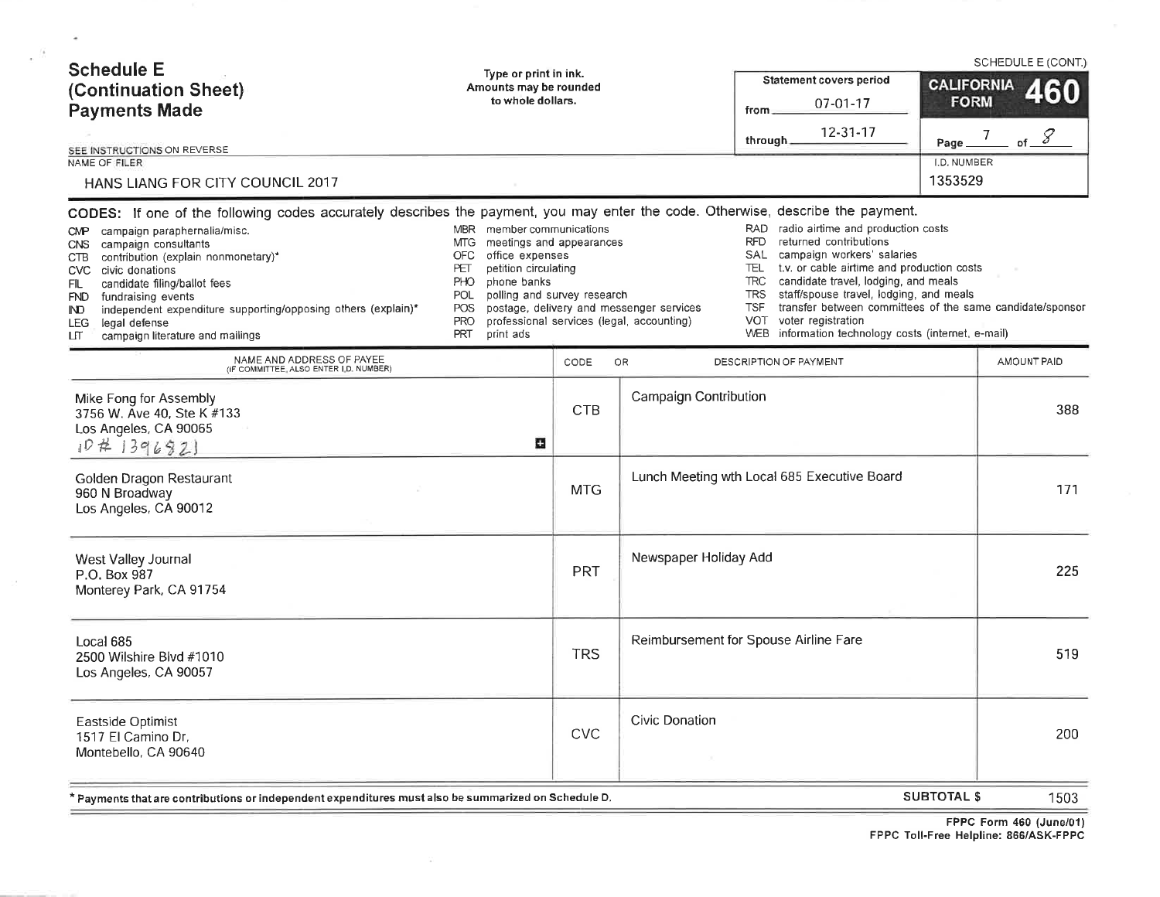| <b>Schedule E</b><br>(Continuation Sheet)<br><b>Payments Made</b><br>SEE INSTRUCTIONS ON REVERSE<br>NAME OF FILER<br>HANS LIANG FOR CITY COUNCIL 2017                                                                                                                                                                                                                                                                                                                                                                    | Type or print in ink.<br>Amounts may be rounded<br>to whole dollars.                                                                                                                           |                                                         |                                                                                       | from<br>through.                                                                         | Statement covers period<br>07-01-17<br>12-31-17                                                                                                                                                                                                                                                                                                                       | <b>CALIFORNIA</b><br><b>FORM</b><br>Page<br><b>I.D. NUMBER</b><br>1353529 | $\overline{7}$ | SCHEDULE E (CONT.)<br><b>460</b><br>of $\mathscr{S}$ |
|--------------------------------------------------------------------------------------------------------------------------------------------------------------------------------------------------------------------------------------------------------------------------------------------------------------------------------------------------------------------------------------------------------------------------------------------------------------------------------------------------------------------------|------------------------------------------------------------------------------------------------------------------------------------------------------------------------------------------------|---------------------------------------------------------|---------------------------------------------------------------------------------------|------------------------------------------------------------------------------------------|-----------------------------------------------------------------------------------------------------------------------------------------------------------------------------------------------------------------------------------------------------------------------------------------------------------------------------------------------------------------------|---------------------------------------------------------------------------|----------------|------------------------------------------------------|
| CODES: If one of the following codes accurately describes the payment, you may enter the code. Otherwise, describe the payment.<br>campaign paraphernalia/misc.<br>$\mathsf{C}\mathsf{M}\mathsf{P}$<br>campaign consultants<br>CNS.<br>contribution (explain nonmonetary)*<br>CTB<br>CVC civic donations<br>candidate filing/ballot fees<br>FIL<br>fundraising events<br>FND<br>independent expenditure supporting/opposing others (explain)*<br>IND.<br>legal defense<br>LEG.<br>campaign literature and mailings<br>பா | member communications<br><b>MBR</b><br><b>MTG</b><br>office expenses<br><b>OFC</b><br>petition circulating<br>PET<br>PHO<br>phone banks<br>POL<br>POS<br><b>PRO</b><br><b>PRT</b><br>print ads | meetings and appearances<br>polling and survey research | postage, delivery and messenger services<br>professional services (legal, accounting) | <b>RFD</b><br>SAL<br>TEL.<br>TRC<br><b>TRS</b><br><b>TSF</b><br><b>VOT</b><br><b>WEB</b> | RAD radio airtime and production costs<br>returned contributions<br>campaign workers' salaries<br>t.v. or cable airtime and production costs<br>candidate travel, lodging, and meals<br>staff/spouse travel, lodging, and meals<br>transfer between committees of the same candidate/sponsor<br>voter registration<br>information technology costs (internet, e-mail) |                                                                           |                |                                                      |
| NAME AND ADDRESS OF PAYEE<br>(IF COMMITTEE, ALSO ENTER I.D. NUMBER)<br>Mike Fong for Assembly<br>3756 W. Ave 40, Ste K #133<br>Los Angeles, CA 90065                                                                                                                                                                                                                                                                                                                                                                     |                                                                                                                                                                                                | CODE<br><b>CTB</b>                                      | <b>OR</b><br><b>Campaign Contribution</b>                                             | DESCRIPTION OF PAYMENT                                                                   |                                                                                                                                                                                                                                                                                                                                                                       |                                                                           |                | AMOUNT PAID<br>388                                   |
| 104139692<br>Golden Dragon Restaurant<br>960 N Broadway<br>Los Angeles, CA 90012                                                                                                                                                                                                                                                                                                                                                                                                                                         | Ω                                                                                                                                                                                              | <b>MTG</b>                                              |                                                                                       |                                                                                          | Lunch Meeting wth Local 685 Executive Board                                                                                                                                                                                                                                                                                                                           |                                                                           |                | 171                                                  |
| West Valley Journal<br>P.O. Box 987<br>Monterey Park, CA 91754                                                                                                                                                                                                                                                                                                                                                                                                                                                           |                                                                                                                                                                                                | <b>PRT</b>                                              | Newspaper Holiday Add                                                                 |                                                                                          |                                                                                                                                                                                                                                                                                                                                                                       |                                                                           |                | 225                                                  |
| Local 685<br>2500 Wilshire Blvd #1010<br>Los Angeles, CA 90057                                                                                                                                                                                                                                                                                                                                                                                                                                                           |                                                                                                                                                                                                | <b>TRS</b>                                              | Reimbursement for Spouse Airline Fare                                                 |                                                                                          |                                                                                                                                                                                                                                                                                                                                                                       |                                                                           |                | 519                                                  |
| Eastside Optimist<br>1517 El Camino Dr,<br>Montebello, CA 90640                                                                                                                                                                                                                                                                                                                                                                                                                                                          |                                                                                                                                                                                                | <b>CVC</b>                                              | <b>Civic Donation</b>                                                                 |                                                                                          |                                                                                                                                                                                                                                                                                                                                                                       |                                                                           |                | 200                                                  |
| * Payments that are contributions or independent expenditures must also be summarized on Schedule D.                                                                                                                                                                                                                                                                                                                                                                                                                     |                                                                                                                                                                                                |                                                         |                                                                                       |                                                                                          |                                                                                                                                                                                                                                                                                                                                                                       | <b>SUBTOTAL \$</b>                                                        |                | 1503                                                 |